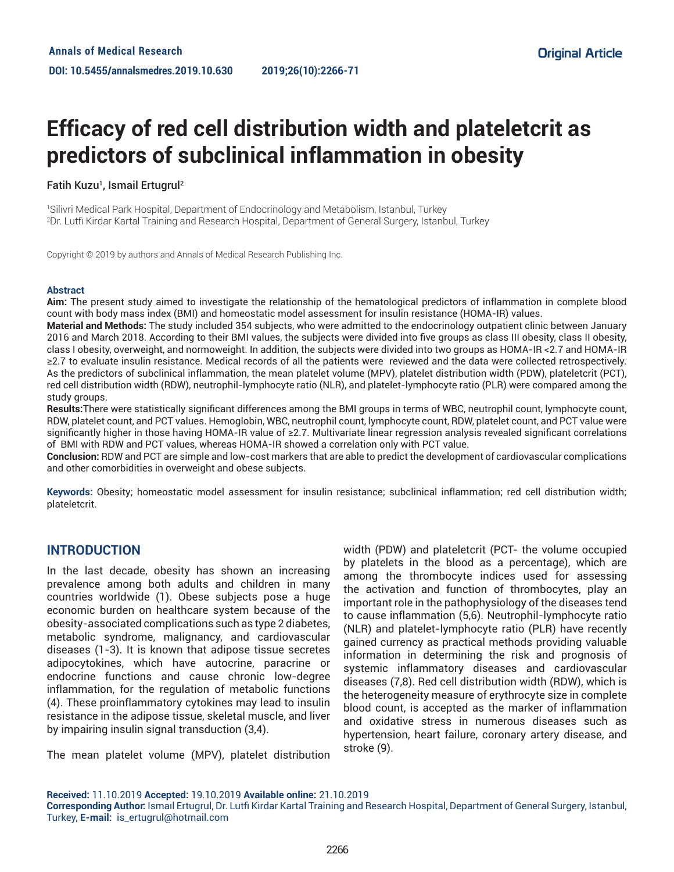# **Efficacy of red cell distribution width and plateletcrit as predictors of subclinical inflammation in obesity**

#### Fatih Kuzu<sup>1</sup>, Ismail Ertugrul<del>?</del>

1 Silivri Medical Park Hospital, Department of Endocrinology and Metabolism, Istanbul, Turkey 2 Dr. Lutfi Kirdar Kartal Training and Research Hospital, Department of General Surgery, Istanbul, Turkey

Copyright © 2019 by authors and Annals of Medical Research Publishing Inc.

#### **Abstract**

**Aim:** The present study aimed to investigate the relationship of the hematological predictors of inflammation in complete blood count with body mass index (BMI) and homeostatic model assessment for insulin resistance (HOMA-IR) values.

**Material and Methods:** The study included 354 subjects, who were admitted to the endocrinology outpatient clinic between January 2016 and March 2018. According to their BMI values, the subjects were divided into five groups as class III obesity, class II obesity, class I obesity, overweight, and normoweight. In addition, the subjects were divided into two groups as HOMA-IR <2.7 and HOMA-IR ≥2.7 to evaluate insulin resistance. Medical records of all the patients were reviewed and the data were collected retrospectively. As the predictors of subclinical inflammation, the mean platelet volume (MPV), platelet distribution width (PDW), plateletcrit (PCT), red cell distribution width (RDW), neutrophil-lymphocyte ratio (NLR), and platelet-lymphocyte ratio (PLR) were compared among the study groups.

**Results:**There were statistically significant differences among the BMI groups in terms of WBC, neutrophil count, lymphocyte count, RDW, platelet count, and PCT values. Hemoglobin, WBC, neutrophil count, lymphocyte count, RDW, platelet count, and PCT value were significantly higher in those having HOMA-IR value of ≥2.7. Multivariate linear regression analysis revealed significant correlations of BMI with RDW and PCT values, whereas HOMA-IR showed a correlation only with PCT value.

**Conclusion:** RDW and PCT are simple and low-cost markers that are able to predict the development of cardiovascular complications and other comorbidities in overweight and obese subjects.

**Keywords:** Obesity; homeostatic model assessment for insulin resistance; subclinical inflammation; red cell distribution width; plateletcrit.

## **INTRODUCTION**

In the last decade, obesity has shown an increasing prevalence among both adults and children in many countries worldwide (1). Obese subjects pose a huge economic burden on healthcare system because of the obesity-associated complications such as type 2 diabetes, metabolic syndrome, malignancy, and cardiovascular diseases (1-3). It is known that adipose tissue secretes adipocytokines, which have autocrine, paracrine or endocrine functions and cause chronic low-degree inflammation, for the regulation of metabolic functions (4). These proinflammatory cytokines may lead to insulin resistance in the adipose tissue, skeletal muscle, and liver by impairing insulin signal transduction (3,4).

The mean platelet volume (MPV), platelet distribution

width (PDW) and plateletcrit (PCT- the volume occupied by platelets in the blood as a percentage), which are among the thrombocyte indices used for assessing the activation and function of thrombocytes, play an important role in the pathophysiology of the diseases tend to cause inflammation (5,6). Neutrophil-lymphocyte ratio (NLR) and platelet-lymphocyte ratio (PLR) have recently gained currency as practical methods providing valuable information in determining the risk and prognosis of systemic inflammatory diseases and cardiovascular diseases (7,8). Red cell distribution width (RDW), which is the heterogeneity measure of erythrocyte size in complete blood count, is accepted as the marker of inflammation and oxidative stress in numerous diseases such as hypertension, heart failure, coronary artery disease, and stroke (9).

**Received:** 11.10.2019 **Accepted:** 19.10.2019 **Available online:** 21.10.2019

**Corresponding Author:** Ismaıl Ertugrul, Dr. Lutfi Kirdar Kartal Training and Research Hospital, Department of General Surgery, Istanbul, Turkey, **E-mail:** is\_ertugrul@hotmail.com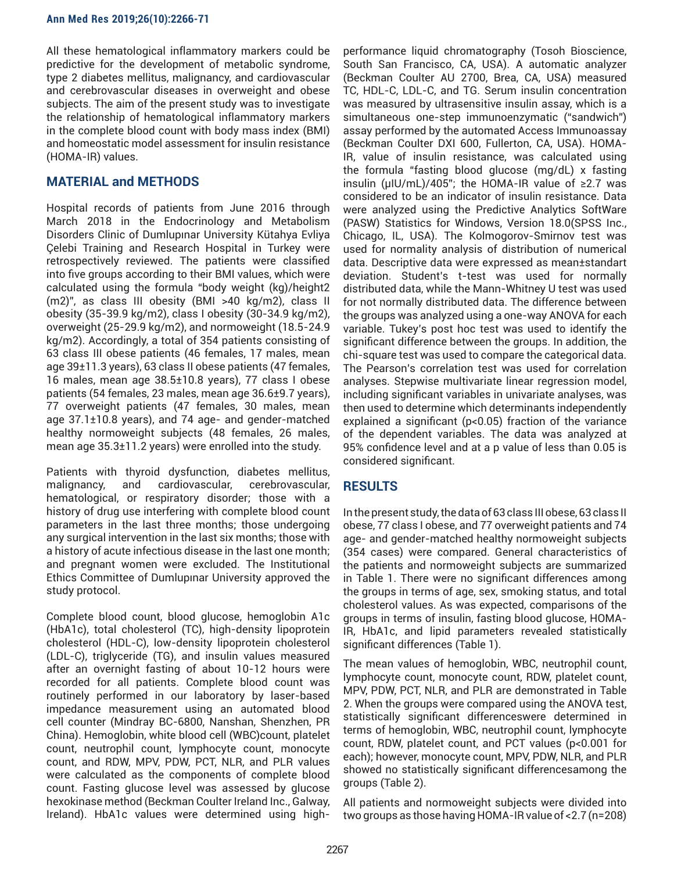All these hematological inflammatory markers could be predictive for the development of metabolic syndrome, type 2 diabetes mellitus, malignancy, and cardiovascular and cerebrovascular diseases in overweight and obese subjects. The aim of the present study was to investigate the relationship of hematological inflammatory markers in the complete blood count with body mass index (BMI) and homeostatic model assessment for insulin resistance (HOMA-IR) values.

# **MATERIAL and METHODS**

Hospital records of patients from June 2016 through March 2018 in the Endocrinology and Metabolism Disorders Clinic of Dumlupınar University Kütahya Evliya Çelebi Training and Research Hospital in Turkey were retrospectively reviewed. The patients were classified into five groups according to their BMI values, which were calculated using the formula "body weight (kg)/height2 (m2)", as class III obesity (BMI >40 kg/m2), class II obesity (35-39.9 kg/m2), class I obesity (30-34.9 kg/m2), overweight (25-29.9 kg/m2), and normoweight (18.5-24.9 kg/m2). Accordingly, a total of 354 patients consisting of 63 class III obese patients (46 females, 17 males, mean age 39±11.3 years), 63 class II obese patients (47 females, 16 males, mean age 38.5±10.8 years), 77 class I obese patients (54 females, 23 males, mean age 36.6±9.7 years), 77 overweight patients (47 females, 30 males, mean age 37.1±10.8 years), and 74 age- and gender-matched healthy normoweight subjects (48 females, 26 males, mean age 35.3±11.2 years) were enrolled into the study.

Patients with thyroid dysfunction, diabetes mellitus, malignancy, and cardiovascular, cerebrovascular, hematological, or respiratory disorder; those with a history of drug use interfering with complete blood count parameters in the last three months; those undergoing any surgical intervention in the last six months; those with a history of acute infectious disease in the last one month; and pregnant women were excluded. The Institutional Ethics Committee of Dumlupınar University approved the study protocol.

Complete blood count, blood glucose, hemoglobin A1c (HbA1c), total cholesterol (TC), high-density lipoprotein cholesterol (HDL-C), low-density lipoprotein cholesterol (LDL-C), triglyceride (TG), and insulin values measured after an overnight fasting of about 10-12 hours were recorded for all patients. Complete blood count was routinely performed in our laboratory by laser-based impedance measurement using an automated blood cell counter (Mindray BC-6800, Nanshan, Shenzhen, PR China). Hemoglobin, white blood cell (WBC)count, platelet count, neutrophil count, lymphocyte count, monocyte count, and RDW, MPV, PDW, PCT, NLR, and PLR values were calculated as the components of complete blood count. Fasting glucose level was assessed by glucose hexokinase method (Beckman Coulter Ireland Inc., Galway, Ireland). HbA1c values were determined using high-

performance liquid chromatography (Tosoh Bioscience, South San Francisco, CA, USA). A automatic analyzer (Beckman Coulter AU 2700, Brea, CA, USA) measured TC, HDL-C, LDL-C, and TG. Serum insulin concentration was measured by ultrasensitive insulin assay, which is a simultaneous one-step immunoenzymatic ("sandwich") assay performed by the automated Access Immunoassay (Beckman Coulter DXI 600, Fullerton, CA, USA). HOMA-IR, value of insulin resistance, was calculated using the formula "fasting blood glucose (mg/dL) x fasting insulin (μIU/mL)/405"; the HOMA-IR value of ≥2.7 was considered to be an indicator of insulin resistance. Data were analyzed using the Predictive Analytics SoftWare (PASW) Statistics for Windows, Version 18.0(SPSS Inc., Chicago, IL, USA). The Kolmogorov-Smirnov test was used for normality analysis of distribution of numerical data. Descriptive data were expressed as mean±standart deviation. Student's t-test was used for normally distributed data, while the Mann-Whitney U test was used for not normally distributed data. The difference between the groups was analyzed using a one-way ANOVA for each variable. Tukey's post hoc test was used to identify the significant difference between the groups. In addition, the chi-square test was used to compare the categorical data. The Pearson's correlation test was used for correlation analyses. Stepwise multivariate linear regression model, including significant variables in univariate analyses, was then used to determine which determinants independently explained a significant (p<0.05) fraction of the variance of the dependent variables. The data was analyzed at 95% confidence level and at a p value of less than 0.05 is considered significant.

# **RESULTS**

In the present study, the data of 63 class III obese, 63 class II obese, 77 class I obese, and 77 overweight patients and 74 age- and gender-matched healthy normoweight subjects (354 cases) were compared. General characteristics of the patients and normoweight subjects are summarized in Table 1. There were no significant differences among the groups in terms of age, sex, smoking status, and total cholesterol values. As was expected, comparisons of the groups in terms of insulin, fasting blood glucose, HOMA-IR, HbA1c, and lipid parameters revealed statistically significant differences (Table 1).

The mean values of hemoglobin, WBC, neutrophil count, lymphocyte count, monocyte count, RDW, platelet count, MPV, PDW, PCT, NLR, and PLR are demonstrated in Table 2. When the groups were compared using the ANOVA test, statistically significant differenceswere determined in terms of hemoglobin, WBC, neutrophil count, lymphocyte count, RDW, platelet count, and PCT values (p<0.001 for each); however, monocyte count, MPV, PDW, NLR, and PLR showed no statistically significant differencesamong the groups (Table 2).

All patients and normoweight subjects were divided into two groups as those having HOMA-IR value of <2.7 (n=208)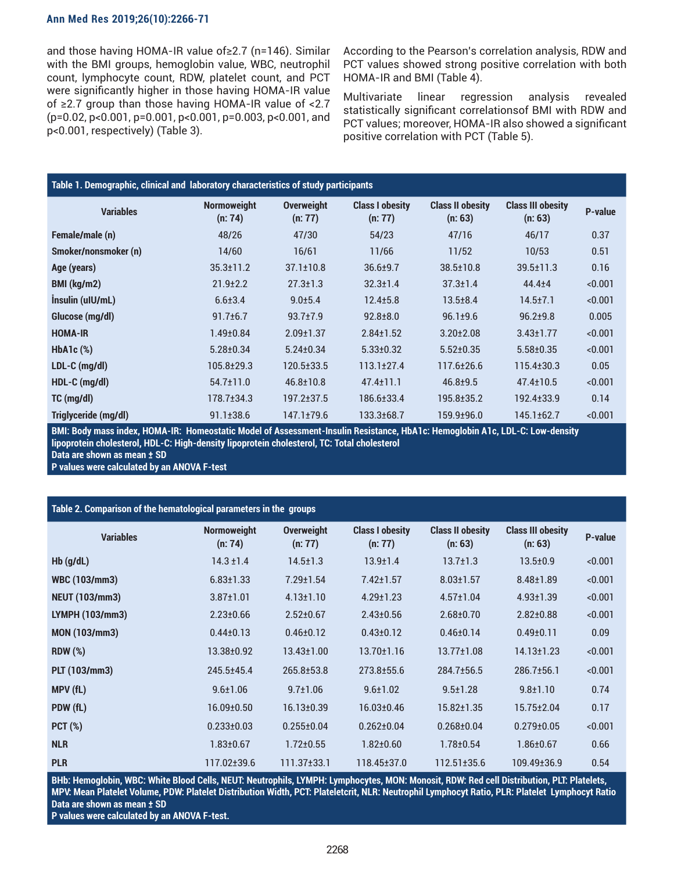#### **Ann Med Res 2019;26(10):2266-71**

and those having HOMA-IR value of≥2.7 (n=146). Similar with the BMI groups, hemoglobin value, WBC, neutrophil count, lymphocyte count, RDW, platelet count, and PCT were significantly higher in those having HOMA-IR value of ≥2.7 group than those having HOMA-IR value of <2.7 (p=0.02, p<0.001, p=0.001, p<0.001, p=0.003, p<0.001, and p<0.001, respectively) (Table 3).

According to the Pearson's correlation analysis, RDW and PCT values showed strong positive correlation with both HOMA-IR and BMI (Table 4).

Multivariate linear regression analysis revealed statistically significant correlationsof BMI with RDW and PCT values; moreover, HOMA-IR also showed a significant positive correlation with PCT (Table 5).

| Table 1. Demographic, clinical and laboratory characteristics of study participants |                               |                              |                                   |                                    |                                     |         |
|-------------------------------------------------------------------------------------|-------------------------------|------------------------------|-----------------------------------|------------------------------------|-------------------------------------|---------|
| <b>Variables</b>                                                                    | <b>Normoweight</b><br>(n: 74) | <b>Overweight</b><br>(n: 77) | <b>Class I obesity</b><br>(n: 77) | <b>Class II obesity</b><br>(n: 63) | <b>Class III obesity</b><br>(n: 63) | P-value |
| Female/male (n)                                                                     | 48/26                         | 47/30                        | 54/23                             | 47/16                              | 46/17                               | 0.37    |
| Smoker/nonsmoker (n)                                                                | 14/60                         | 16/61                        | 11/66                             | 11/52                              | 10/53                               | 0.51    |
| Age (years)                                                                         | $35.3 \pm 11.2$               | $37.1 \pm 10.8$              | $36.6 + 9.7$                      | $38.5 \pm 10.8$                    | $39.5 \pm 11.3$                     | 0.16    |
| BMI (kg/m2)                                                                         | $21.9 \pm 2.2$                | $27.3 \pm 1.3$               | $32.3 \pm 1.4$                    | $37.3 \pm 1.4$                     | $44.4 + 4$                          | < 0.001 |
| Insulin (uIU/mL)                                                                    | $6.6 \pm 3.4$                 | $9.0 + 5.4$                  | $12.4 \pm 5.8$                    | $13.5 + 8.4$                       | $14.5 \pm 7.1$                      | < 0.001 |
| Glucose (mg/dl)                                                                     | $91.7 \pm 6.7$                | $93.7 \pm 7.9$               | $92.8 + 8.0$                      | $96.1 \pm 9.6$                     | $96.2 + 9.8$                        | 0.005   |
| <b>HOMA-IR</b>                                                                      | $1.49 \pm 0.84$               | $2.09 \pm 1.37$              | $2.84 \pm 1.52$                   | $3.20 \pm 2.08$                    | $3.43 \pm 1.77$                     | < 0.001 |
| $HbA1c$ (%)                                                                         | $5.28 \pm 0.34$               | $5.24 \pm 0.34$              | $5.33 \pm 0.32$                   | $5.52 \pm 0.35$                    | $5.58 \pm 0.35$                     | < 0.001 |
| $LDL-C$ (mg/dl)                                                                     | 105.8±29.3                    | 120.5±33.5                   | $113.1 \pm 27.4$                  | 117.6±26.6                         | $115.4 \pm 30.3$                    | 0.05    |
| $HDL-C$ (mg/dl)                                                                     | $54.7 \pm 11.0$               | $46.8 \pm 10.8$              | $47.4 \pm 11.1$                   | $46.8 \pm 9.5$                     | $47.4 \pm 10.5$                     | < 0.001 |
| $TC$ (mg/dl)                                                                        | 178.7±34.3                    | $197.2 \pm 37.5$             | 186.6±33.4                        | 195.8±35.2                         | 192.4±33.9                          | 0.14    |
| Triglyceride (mg/dl)                                                                | $91.1 \pm 38.6$               | 147.1±79.6                   | 133.3±68.7                        | 159.9±96.0                         | 145.1±62.7                          | < 0.001 |

**BMI: Body mass index, HOMA-IR: Homeostatic Model of Assessment-Insulin Resistance, HbA1c: Hemoglobin A1c, LDL-C: Low-density lipoprotein cholesterol, HDL-C: High-density lipoprotein cholesterol, TC: Total cholesterol**

**Data are shown as mean ± SD** 

**P values were calculated by an ANOVA F-test**

| Table 2. Comparison of the hematological parameters in the groups |                               |                              |                                   |                                    |                                     |         |
|-------------------------------------------------------------------|-------------------------------|------------------------------|-----------------------------------|------------------------------------|-------------------------------------|---------|
| <b>Variables</b>                                                  | <b>Normoweight</b><br>(n: 74) | <b>Overweight</b><br>(n: 77) | <b>Class I obesity</b><br>(n: 77) | <b>Class II obesity</b><br>(n: 63) | <b>Class III obesity</b><br>(n: 63) | P-value |
| $Hb$ (g/dL)                                                       | $14.3 \pm 1.4$                | $14.5 \pm 1.3$               | $13.9 \pm 1.4$                    | $13.7 \pm 1.3$                     | $13.5 \pm 0.9$                      | < 0.001 |
| <b>WBC (103/mm3)</b>                                              | $6.83 \pm 1.33$               | $7.29 \pm 1.54$              | $7.42 \pm 1.57$                   | $8.03 \pm 1.57$                    | $8.48 \pm 1.89$                     | < 0.001 |
| <b>NEUT (103/mm3)</b>                                             | $3.87 \pm 1.01$               | $4.13 \pm 1.10$              | $4.29 \pm 1.23$                   | $4.57 \pm 1.04$                    | $4.93 \pm 1.39$                     | < 0.001 |
| LYMPH (103/mm3)                                                   | $2.23 \pm 0.66$               | $2.52 \pm 0.67$              | $2.43 \pm 0.56$                   | $2.68 \pm 0.70$                    | $2.82 \pm 0.88$                     | < 0.001 |
| <b>MON (103/mm3)</b>                                              | $0.44 \pm 0.13$               | $0.46 \pm 0.12$              | $0.43 \pm 0.12$                   | $0.46 \pm 0.14$                    | $0.49 \pm 0.11$                     | 0.09    |
| <b>RDW</b> (%)                                                    | 13.38±0.92                    | $13.43 \pm 1.00$             | $13.70 \pm 1.16$                  | $13.77 \pm 1.08$                   | $14.13 \pm 1.23$                    | < 0.001 |
| PLT (103/mm3)                                                     | 245.5±45.4                    | $265.8 \pm 53.8$             | 273.8±55.6                        | 284.7±56.5                         | $286.7 \pm 56.1$                    | < 0.001 |
| MPV (fL)                                                          | $9.6 \pm 1.06$                | $9.7 \pm 1.06$               | $9.6 \pm 1.02$                    | $9.5 \pm 1.28$                     | $9.8 \pm 1.10$                      | 0.74    |
| PDW (fL)                                                          | 16.09±0.50                    | $16.13 \pm 0.39$             | $16.03 \pm 0.46$                  | $15.82 \pm 1.35$                   | $15.75 \pm 2.04$                    | 0.17    |
| $PCT$ (%)                                                         | $0.233 \pm 0.03$              | $0.255 \pm 0.04$             | $0.262 \pm 0.04$                  | $0.268 + 0.04$                     | $0.279 \pm 0.05$                    | < 0.001 |
| <b>NLR</b>                                                        | $1.83 \pm 0.67$               | $1.72 \pm 0.55$              | $1.82 \pm 0.60$                   | $1.78 \pm 0.54$                    | $1.86 \pm 0.67$                     | 0.66    |
| <b>PLR</b>                                                        | 117.02±39.6                   | $111.37\pm33.1$              | 118.45±37.0                       | 112.51±35.6                        | 109.49±36.9                         | 0.54    |

**BHb: Hemoglobin, WBC: White Blood Cells, NEUT: Neutrophils, LYMPH: Lymphocytes, MON: Monosit, RDW: Red cell Distribution, PLT: Platelets, MPV: Mean Platelet Volume, PDW: Platelet Distribution Width, PCT: Plateletcrit, NLR: Neutrophil Lymphocyt Ratio, PLR: Platelet Lymphocyt Ratio Data are shown as mean ± SD**

**P values were calculated by an ANOVA F-test.**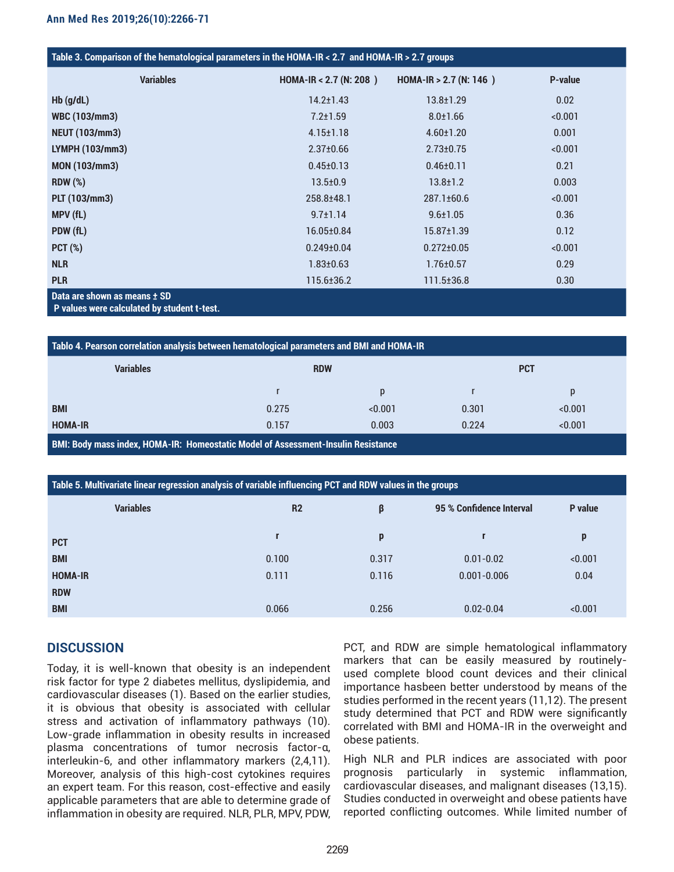| <b>Variables</b>             | HOMA-IR < 2.7 (N: 208) | HOMA-IR $> 2.7$ (N: 146) | <b>P-value</b> |
|------------------------------|------------------------|--------------------------|----------------|
| $Hb$ (g/dL)                  | $14.2 \pm 1.43$        | $13.8 \pm 1.29$          | 0.02           |
| <b>WBC (103/mm3)</b>         | $7.2 \pm 1.59$         | $8.0 \pm 1.66$           | < 0.001        |
| <b>NEUT (103/mm3)</b>        | $4.15 \pm 1.18$        | $4.60 \pm 1.20$          | 0.001          |
| LYMPH (103/mm3)              | $2.37 \pm 0.66$        | $2.73 \pm 0.75$          | < 0.001        |
| <b>MON (103/mm3)</b>         | $0.45 \pm 0.13$        | $0.46 \pm 0.11$          | 0.21           |
| <b>RDW (%)</b>               | $13.5 \pm 0.9$         | $13.8 \pm 1.2$           | 0.003          |
| PLT (103/mm3)                | 258.8±48.1             | 287.1±60.6               | < 0.001        |
| MPV (fL)                     | $9.7 \pm 1.14$         | $9.6 \pm 1.05$           | 0.36           |
| PDW (fL)                     | 16.05±0.84             | $15.87 \pm 1.39$         | 0.12           |
| $PCT$ (%)                    | $0.249 \pm 0.04$       | $0.272 \pm 0.05$         | < 0.001        |
| <b>NLR</b>                   | $1.83 \pm 0.63$        | $1.76 \pm 0.57$          | 0.29           |
| <b>PLR</b>                   | 115.6±36.2             | 111.5±36.8               | 0.30           |
| Data are shown as means ± SD |                        |                          |                |

 **P values were calculated by student t-test.** 

| Tablo 4. Pearson correlation analysis between hematological parameters and BMI and HOMA-IR |            |         |            |         |  |  |
|--------------------------------------------------------------------------------------------|------------|---------|------------|---------|--|--|
| <b>Variables</b>                                                                           | <b>RDW</b> |         | <b>PCT</b> |         |  |  |
|                                                                                            |            |         |            | p       |  |  |
| <b>BMI</b>                                                                                 | 0.275      | < 0.001 | 0.301      | < 0.001 |  |  |
| <b>HOMA-IR</b>                                                                             | 0.157      | 0.003   | 0.224      | < 0.001 |  |  |
| <b>BMI: Body mass index, HOMA-IR: Homeostatic Model of Assessment-Insulin Resistance</b>   |            |         |            |         |  |  |

| Table 5. Multivariate linear regression analysis of variable influencing PCT and RDW values in the groups |                |       |                          |         |  |  |
|-----------------------------------------------------------------------------------------------------------|----------------|-------|--------------------------|---------|--|--|
| <b>Variables</b>                                                                                          | R <sub>2</sub> | β     | 95 % Confidence Interval | P value |  |  |
| <b>PCT</b>                                                                                                |                | p     | r                        | p       |  |  |
| <b>BMI</b>                                                                                                | 0.100          | 0.317 | $0.01 - 0.02$            | < 0.001 |  |  |
| <b>HOMA-IR</b>                                                                                            | 0.111          | 0.116 | $0.001 - 0.006$          | 0.04    |  |  |
| <b>RDW</b>                                                                                                |                |       |                          |         |  |  |
| <b>BMI</b>                                                                                                | 0.066          | 0.256 | $0.02 - 0.04$            | < 0.001 |  |  |

# **DISCUSSION**

Today, it is well-known that obesity is an independent risk factor for type 2 diabetes mellitus, dyslipidemia, and cardiovascular diseases (1). Based on the earlier studies, it is obvious that obesity is associated with cellular stress and activation of inflammatory pathways (10). Low-grade inflammation in obesity results in increased plasma concentrations of tumor necrosis factor-α, interleukin-6, and other inflammatory markers (2,4,11). Moreover, analysis of this high-cost cytokines requires an expert team. For this reason, cost-effective and easily applicable parameters that are able to determine grade of inflammation in obesity are required. NLR, PLR, MPV, PDW,

PCT, and RDW are simple hematological inflammatory markers that can be easily measured by routinelyused complete blood count devices and their clinical importance hasbeen better understood by means of the studies performed in the recent years (11,12). The present study determined that PCT and RDW were significantly correlated with BMI and HOMA-IR in the overweight and obese patients.

High NLR and PLR indices are associated with poor prognosis particularly in systemic inflammation, cardiovascular diseases, and malignant diseases (13,15). Studies conducted in overweight and obese patients have reported conflicting outcomes. While limited number of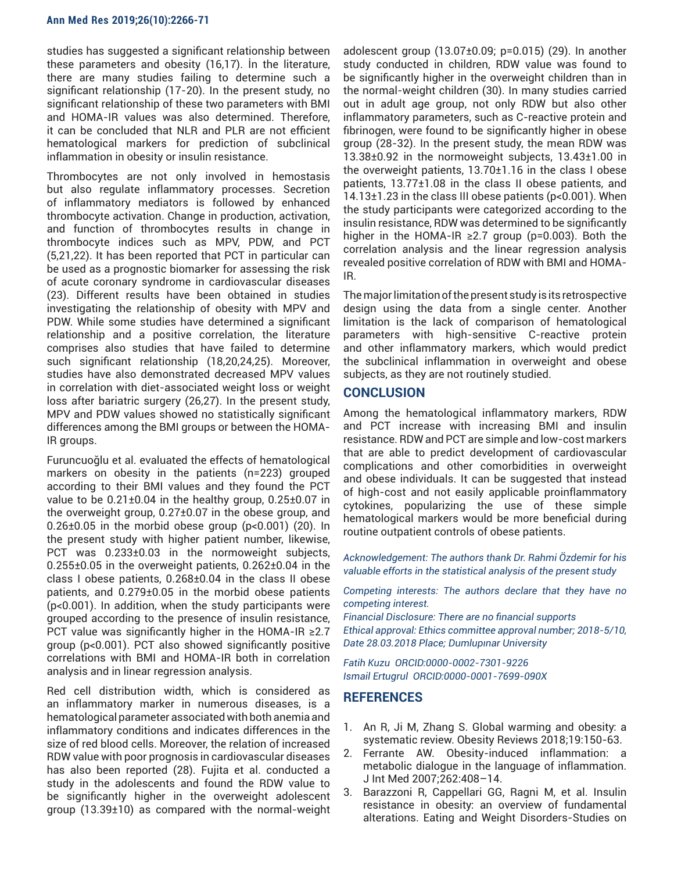studies has suggested a significant relationship between these parameters and obesity (16,17). İn the literature, there are many studies failing to determine such a significant relationship (17-20). In the present study, no significant relationship of these two parameters with BMI and HOMA-IR values was also determined. Therefore, it can be concluded that NLR and PLR are not efficient hematological markers for prediction of subclinical inflammation in obesity or insulin resistance.

Thrombocytes are not only involved in hemostasis but also regulate inflammatory processes. Secretion of inflammatory mediators is followed by enhanced thrombocyte activation. Change in production, activation, and function of thrombocytes results in change in thrombocyte indices such as MPV, PDW, and PCT (5,21,22). It has been reported that PCT in particular can be used as a prognostic biomarker for assessing the risk of acute coronary syndrome in cardiovascular diseases (23). Different results have been obtained in studies investigating the relationship of obesity with MPV and PDW. While some studies have determined a significant relationship and a positive correlation, the literature comprises also studies that have failed to determine such significant relationship (18,20,24,25). Moreover, studies have also demonstrated decreased MPV values in correlation with diet-associated weight loss or weight loss after bariatric surgery (26,27). In the present study, MPV and PDW values showed no statistically significant differences among the BMI groups or between the HOMA-IR groups.

Furuncuoğlu et al. evaluated the effects of hematological markers on obesity in the patients (n=223) grouped according to their BMI values and they found the PCT value to be  $0.21\pm0.04$  in the healthy group,  $0.25\pm0.07$  in the overweight group, 0.27±0.07 in the obese group, and 0.26 $\pm$ 0.05 in the morbid obese group (p<0.001) (20). In the present study with higher patient number, likewise, PCT was 0.233±0.03 in the normoweight subjects,  $0.255\pm0.05$  in the overweight patients,  $0.262\pm0.04$  in the class I obese patients, 0.268±0.04 in the class II obese patients, and 0.279±0.05 in the morbid obese patients (p<0.001). In addition, when the study participants were grouped according to the presence of insulin resistance, PCT value was significantly higher in the HOMA-IR ≥2.7 group (p<0.001). PCT also showed significantly positive correlations with BMI and HOMA-IR both in correlation analysis and in linear regression analysis.

Red cell distribution width, which is considered as an inflammatory marker in numerous diseases, is a hematological parameter associated with both anemia and inflammatory conditions and indicates differences in the size of red blood cells. Moreover, the relation of increased RDW value with poor prognosis in cardiovascular diseases has also been reported (28). Fujita et al. conducted a study in the adolescents and found the RDW value to be significantly higher in the overweight adolescent group (13.39±10) as compared with the normal-weight

adolescent group  $(13.07\pm0.09; p=0.015)$   $(29)$ . In another study conducted in children, RDW value was found to be significantly higher in the overweight children than in the normal-weight children (30). In many studies carried out in adult age group, not only RDW but also other inflammatory parameters, such as C-reactive protein and fibrinogen, were found to be significantly higher in obese group (28-32). In the present study, the mean RDW was 13.38±0.92 in the normoweight subjects, 13.43±1.00 in the overweight patients, 13.70±1.16 in the class I obese patients, 13.77±1.08 in the class II obese patients, and 14.13±1.23 in the class III obese patients (p<0.001). When the study participants were categorized according to the insulin resistance, RDW was determined to be significantly higher in the HOMA-IR  $\geq$ 2.7 group (p=0.003). Both the correlation analysis and the linear regression analysis revealed positive correlation of RDW with BMI and HOMA-IR.

The major limitation of the present study is its retrospective design using the data from a single center. Another limitation is the lack of comparison of hematological parameters with high-sensitive C-reactive protein and other inflammatory markers, which would predict the subclinical inflammation in overweight and obese subjects, as they are not routinely studied.

## **CONCLUSION**

Among the hematological inflammatory markers, RDW and PCT increase with increasing BMI and insulin resistance. RDW and PCT are simple and low-cost markers that are able to predict development of cardiovascular complications and other comorbidities in overweight and obese individuals. It can be suggested that instead of high-cost and not easily applicable proinflammatory cytokines, popularizing the use of these simple hematological markers would be more beneficial during routine outpatient controls of obese patients.

*Acknowledgement: The authors thank Dr. Rahmi Özdemir for his valuable efforts in the statistical analysis of the present study*

*Competing interests: The authors declare that they have no competing interest.* 

*Financial Disclosure: There are no financial supports Ethical approval: Ethics committee approval number; 2018-5/10, Date 28.03.2018 Place; Dumlupınar University* 

*Fatih Kuzu ORCID:0000-0002-7301-9226 Ismail Ertugrul ORCID:0000-0001-7699-090X*

## **REFERENCES**

- 1. An R, Ji M, Zhang S. Global warming and obesity: a systematic review. Obesity Reviews 2018;19:150-63.
- 2. Ferrante AW. Obesity-induced inflammation: a metabolic dialogue in the language of inflammation. J Int Med 2007;262:408–14.
- 3. Barazzoni R, Cappellari GG, Ragni M, et al. Insulin resistance in obesity: an overview of fundamental alterations. Eating and Weight Disorders-Studies on